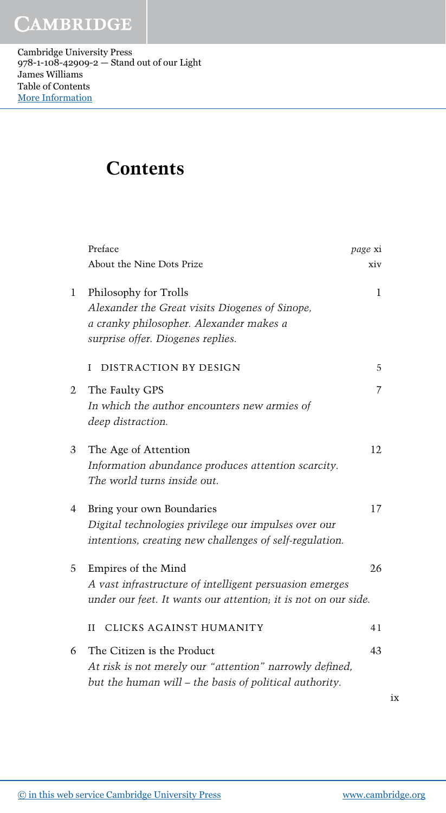Cambridge University Press 978-1-108-42909-2 — Stand out of our Light James Williams Table of Contents [More Information](www.cambridge.org/9781108429092)

## Contents

| About the Nine Dots Prize<br>Philosophy for Trolls<br>$\mathbf{1}$<br>Alexander the Great visits Diogenes of Sinope,<br>a cranky philosopher. Alexander makes a<br>surprise offer. Diogenes replies.<br>DISTRACTION BY DESIGN<br>L<br>$\mathfrak{2}$<br>The Faulty GPS<br>In which the author encounters new armies of<br>deep distraction.<br>The Age of Attention<br>3<br>Information abundance produces attention scarcity.<br>The world turns inside out.<br>Bring your own Boundaries<br>4<br>Digital technologies privilege our impulses over our<br>intentions, creating new challenges of self-regulation.<br>Empires of the Mind<br>5<br>A vast infrastructure of intelligent persuasion emerges<br>under our feet. It wants our attention; it is not on our side.<br>CLICKS AGAINST HUMANITY<br>H<br>The Citizen is the Product<br>6<br>At risk is not merely our "attention" narrowly defined,<br>but the human will – the basis of political authority. | Preface | page xi |
|---------------------------------------------------------------------------------------------------------------------------------------------------------------------------------------------------------------------------------------------------------------------------------------------------------------------------------------------------------------------------------------------------------------------------------------------------------------------------------------------------------------------------------------------------------------------------------------------------------------------------------------------------------------------------------------------------------------------------------------------------------------------------------------------------------------------------------------------------------------------------------------------------------------------------------------------------------------------|---------|---------|
|                                                                                                                                                                                                                                                                                                                                                                                                                                                                                                                                                                                                                                                                                                                                                                                                                                                                                                                                                                     |         | xiv     |
|                                                                                                                                                                                                                                                                                                                                                                                                                                                                                                                                                                                                                                                                                                                                                                                                                                                                                                                                                                     |         | 1       |
|                                                                                                                                                                                                                                                                                                                                                                                                                                                                                                                                                                                                                                                                                                                                                                                                                                                                                                                                                                     |         |         |
|                                                                                                                                                                                                                                                                                                                                                                                                                                                                                                                                                                                                                                                                                                                                                                                                                                                                                                                                                                     |         | 5       |
|                                                                                                                                                                                                                                                                                                                                                                                                                                                                                                                                                                                                                                                                                                                                                                                                                                                                                                                                                                     |         | 7       |
|                                                                                                                                                                                                                                                                                                                                                                                                                                                                                                                                                                                                                                                                                                                                                                                                                                                                                                                                                                     |         |         |
|                                                                                                                                                                                                                                                                                                                                                                                                                                                                                                                                                                                                                                                                                                                                                                                                                                                                                                                                                                     |         | 12      |
|                                                                                                                                                                                                                                                                                                                                                                                                                                                                                                                                                                                                                                                                                                                                                                                                                                                                                                                                                                     |         |         |
|                                                                                                                                                                                                                                                                                                                                                                                                                                                                                                                                                                                                                                                                                                                                                                                                                                                                                                                                                                     |         |         |
|                                                                                                                                                                                                                                                                                                                                                                                                                                                                                                                                                                                                                                                                                                                                                                                                                                                                                                                                                                     |         | 17      |
|                                                                                                                                                                                                                                                                                                                                                                                                                                                                                                                                                                                                                                                                                                                                                                                                                                                                                                                                                                     |         |         |
|                                                                                                                                                                                                                                                                                                                                                                                                                                                                                                                                                                                                                                                                                                                                                                                                                                                                                                                                                                     |         |         |
|                                                                                                                                                                                                                                                                                                                                                                                                                                                                                                                                                                                                                                                                                                                                                                                                                                                                                                                                                                     |         | 26      |
|                                                                                                                                                                                                                                                                                                                                                                                                                                                                                                                                                                                                                                                                                                                                                                                                                                                                                                                                                                     |         |         |
|                                                                                                                                                                                                                                                                                                                                                                                                                                                                                                                                                                                                                                                                                                                                                                                                                                                                                                                                                                     |         |         |
|                                                                                                                                                                                                                                                                                                                                                                                                                                                                                                                                                                                                                                                                                                                                                                                                                                                                                                                                                                     |         | 41      |
|                                                                                                                                                                                                                                                                                                                                                                                                                                                                                                                                                                                                                                                                                                                                                                                                                                                                                                                                                                     |         | 43      |
|                                                                                                                                                                                                                                                                                                                                                                                                                                                                                                                                                                                                                                                                                                                                                                                                                                                                                                                                                                     |         |         |

ix